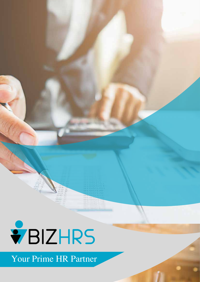

Your Prime HR Partner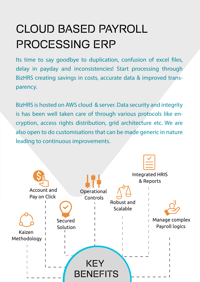# CLOUD BASED PAYROLL PROCESSING ERP

Its time to say goodbye to duplication, confusion of excel files, delay in payday and inconsistencies! Start processing through BizHRS creating savings in costs, accurate data & improved transparency.

BizHRS is hosted on AWS cloud & server. Data security and integrity is has been well taken care of through various protocols like encryption, access rights distribution, grid architecture etc. We are also open to do customisations that can be made generic in nature leading to continuous improvements.

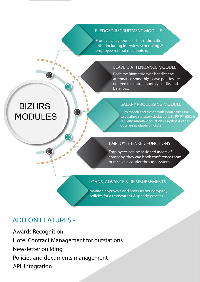#### FLEDGED RECRUITMENT MODULE

From vacancy requests till confirmation letter including interview scheduling & employee referral mechanism.

#### LEAVE & ATTENDANCE MODULE

Realtime Biometric sync handles the attendance smoothly. Leave policies are entered to control monthly credits and balances.

#### SALARY PROCESSING MODULE

Auto month end closer with inbuilt rules for calculating statutory deductions i.e PF, PT, ESIC & TDS and manual deductions. Payslips & other docs are available on clicks.

#### EMPLOYEE LINKED FUNCTIONS

Employees can be assigned assets of company, they can book conference room or receive a courier through system.

#### LOANS, ADVANCE & REIMBURSEMENTS

Manage approvals and limits as per company policies for a transparent & speedy process.

#### ADD ON FEATURES -

Awards Recognition Hotel Contract Management for outstations Newsletter building Policies and documents management API Integration

# **BIZHRS** MODULES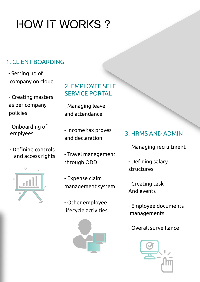# **HOW IT WORKS?**

### 1. CLIENT BOARDING

- Setting up of company on cloud
- Creating masters as per company policies
- Onboarding of
- Defining controls and access rights



2. EMPLOYEE SELF SERVICE PORTAL

- Managing leave and attendance

- Income tax proves and declaration

- Travel management through ODD

- Expense claim management system

- Other employee lifecycle activities



#### emplyees Theorie tax proves 3. HRMS AND ADMIN

- Managing recruitment
- Defining salary structures
- Creating task And events
- Employee documents managements
- Overall surveillance

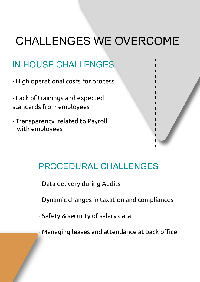# CHALLENGES WE OVERCOME

# IN HOUSE CHALLENGES

- High operational costs for process
- Lack of trainings and expected standards from employees
- Transparency related to Payroll with employees

# PROCEDURAL CHALLENGES

- Data delivery during Audits
- Dynamic changes in taxation and compliances
- Safety & security of salary data
- Managing leaves and attendance at back office